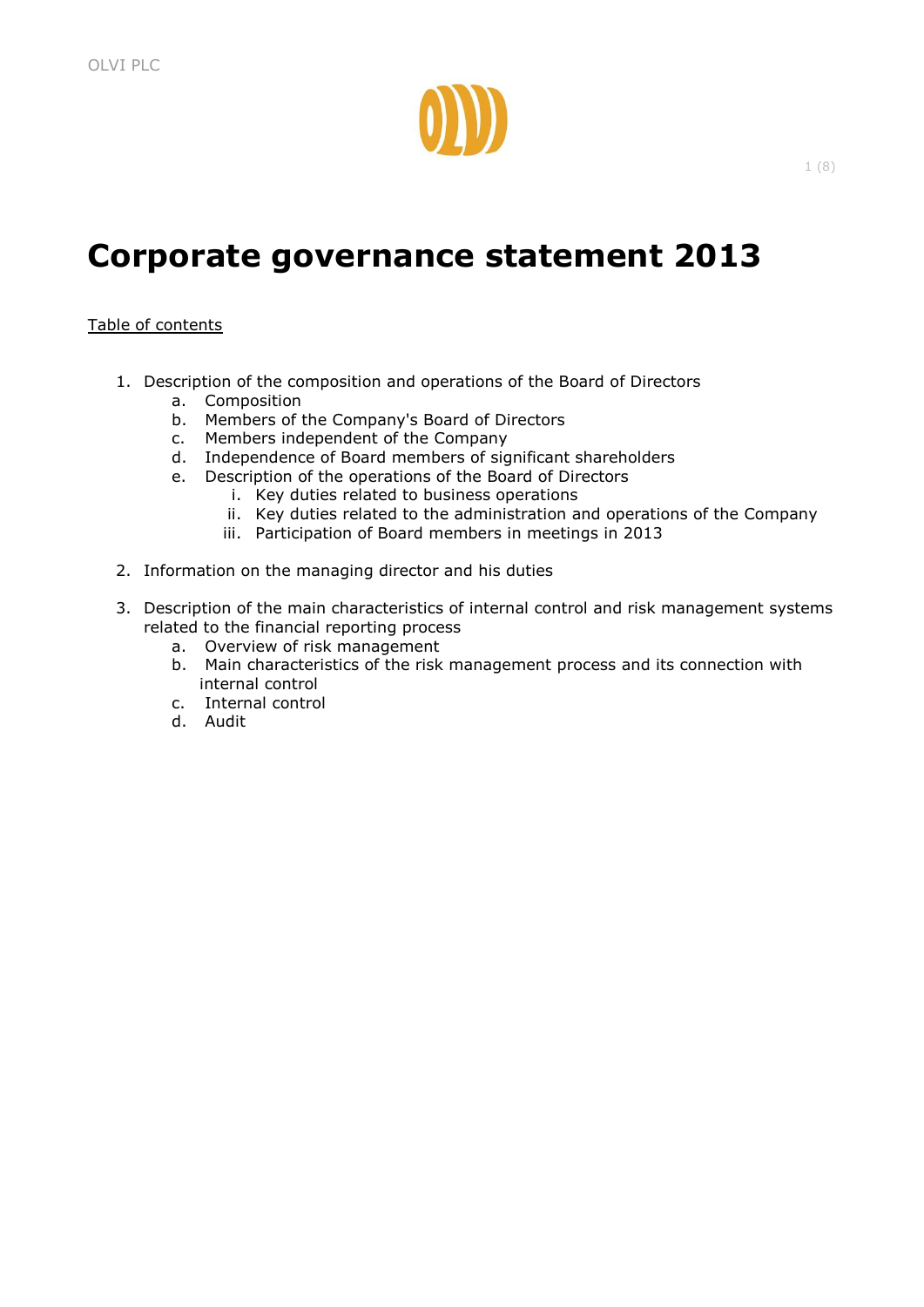

# **Corporate governance statement 2013**

## Table of contents

- 1. Description of the composition and operations of the Board of Directors
	- a. Composition
	- b. Members of the Company's Board of Directors
	- c. Members independent of the Company
	- d. Independence of Board members of significant shareholders
	- e. Description of the operations of the Board of Directors
		- i. Key duties related to business operations
		- ii. Key duties related to the administration and operations of the Company
		- iii. Participation of Board members in meetings in 2013
- 2. Information on the managing director and his duties
- 3. Description of the main characteristics of internal control and risk management systems related to the financial reporting process
	- a. Overview of risk management
	- b. Main characteristics of the risk management process and its connection with internal control
	- c. Internal control
	- d. Audit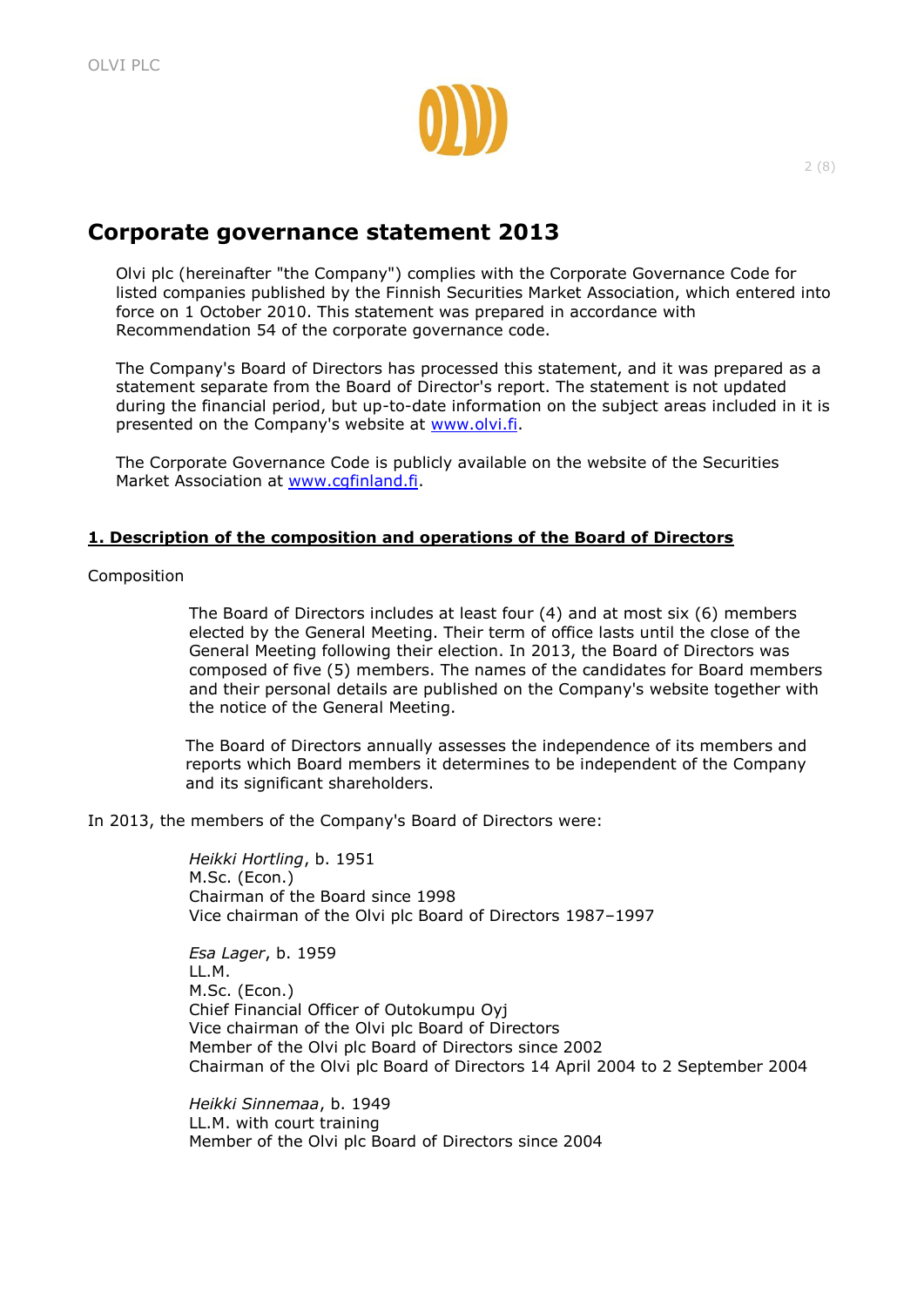

# **Corporate governance statement 2013**

Olvi plc (hereinafter "the Company") complies with the Corporate Governance Code for listed companies published by the Finnish Securities Market Association, which entered into force on 1 October 2010. This statement was prepared in accordance with Recommendation 54 of the corporate governance code.

The Company's Board of Directors has processed this statement, and it was prepared as a statement separate from the Board of Director's report. The statement is not updated during the financial period, but up-to-date information on the subject areas included in it is presented on the Company's website at [www.olvi.fi.](http://www.olvi.fi/)

The Corporate Governance Code is publicly available on the website of the Securities Market Association at [www.cgfinland.fi.](http://www.cgfinland.fi/)

## **1. Description of the composition and operations of the Board of Directors**

Composition

The Board of Directors includes at least four (4) and at most six (6) members elected by the General Meeting. Their term of office lasts until the close of the General Meeting following their election. In 2013, the Board of Directors was composed of five (5) members. The names of the candidates for Board members and their personal details are published on the Company's website together with the notice of the General Meeting.

The Board of Directors annually assesses the independence of its members and reports which Board members it determines to be independent of the Company and its significant shareholders.

In 2013, the members of the Company's Board of Directors were:

*Heikki Hortling*, b. 1951 M.Sc. (Econ.) Chairman of the Board since 1998 Vice chairman of the Olvi plc Board of Directors 1987–1997

*Esa Lager*, b. 1959 LL.M. M.Sc. (Econ.) Chief Financial Officer of Outokumpu Oyj Vice chairman of the Olvi plc Board of Directors Member of the Olvi plc Board of Directors since 2002 Chairman of the Olvi plc Board of Directors 14 April 2004 to 2 September 2004

*Heikki Sinnemaa*, b. 1949 LL.M. with court training Member of the Olvi plc Board of Directors since 2004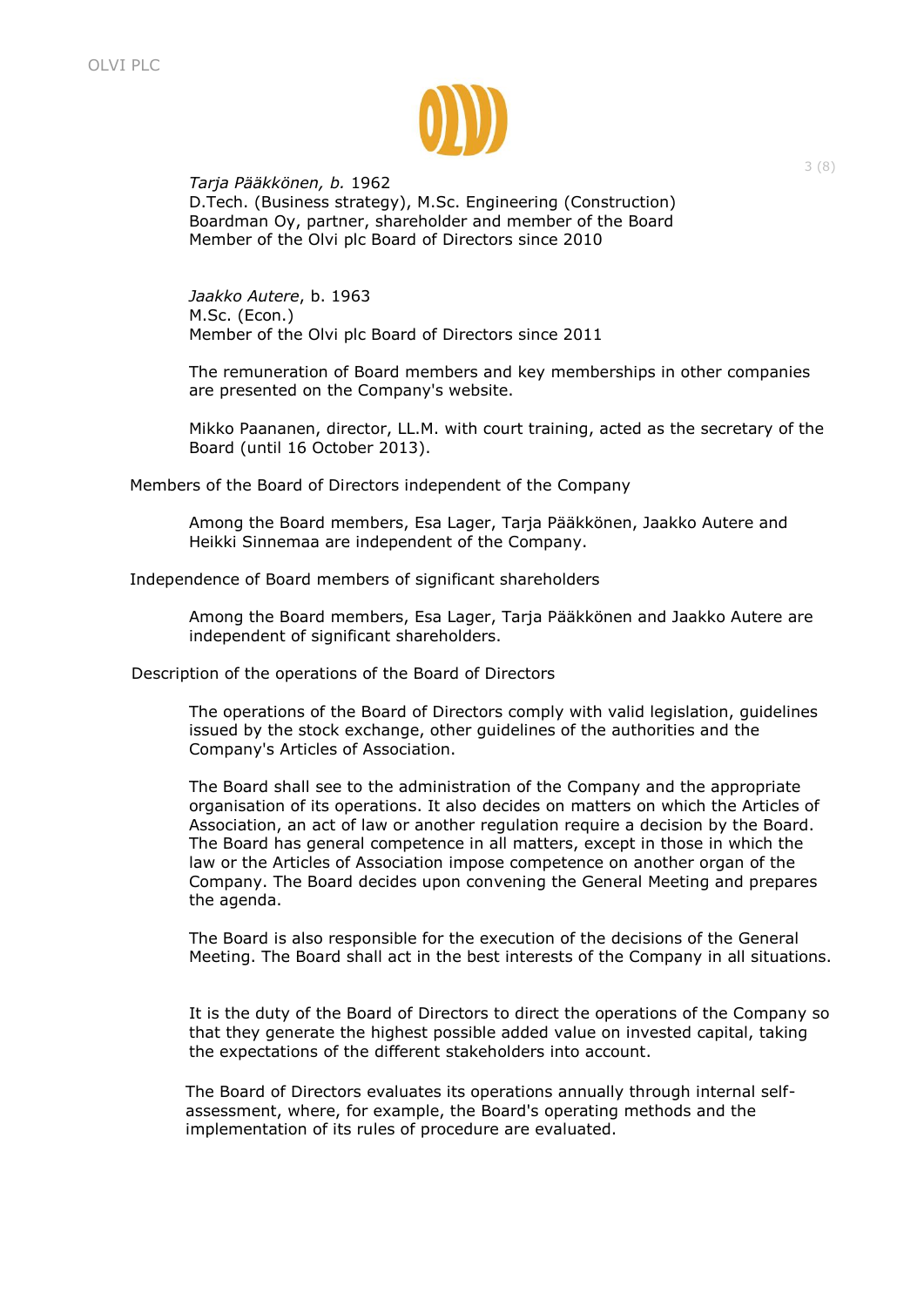

## *Tarja Pääkkönen, b.* 1962

D.Tech. (Business strategy), M.Sc. Engineering (Construction) Boardman Oy, partner, shareholder and member of the Board Member of the Olvi plc Board of Directors since 2010

*Jaakko Autere*, b. 1963 M.Sc. (Econ.) Member of the Olvi plc Board of Directors since 2011

The remuneration of Board members and key memberships in other companies are presented on the Company's website.

Mikko Paananen, director, LL.M. with court training, acted as the secretary of the Board (until 16 October 2013).

Members of the Board of Directors independent of the Company

Among the Board members, Esa Lager, Tarja Pääkkönen, Jaakko Autere and Heikki Sinnemaa are independent of the Company.

Independence of Board members of significant shareholders

Among the Board members, Esa Lager, Tarja Pääkkönen and Jaakko Autere are independent of significant shareholders.

Description of the operations of the Board of Directors

The operations of the Board of Directors comply with valid legislation, guidelines issued by the stock exchange, other guidelines of the authorities and the Company's Articles of Association.

The Board shall see to the administration of the Company and the appropriate organisation of its operations. It also decides on matters on which the Articles of Association, an act of law or another regulation require a decision by the Board. The Board has general competence in all matters, except in those in which the law or the Articles of Association impose competence on another organ of the Company. The Board decides upon convening the General Meeting and prepares the agenda.

The Board is also responsible for the execution of the decisions of the General Meeting. The Board shall act in the best interests of the Company in all situations.

It is the duty of the Board of Directors to direct the operations of the Company so that they generate the highest possible added value on invested capital, taking the expectations of the different stakeholders into account.

The Board of Directors evaluates its operations annually through internal selfassessment, where, for example, the Board's operating methods and the implementation of its rules of procedure are evaluated.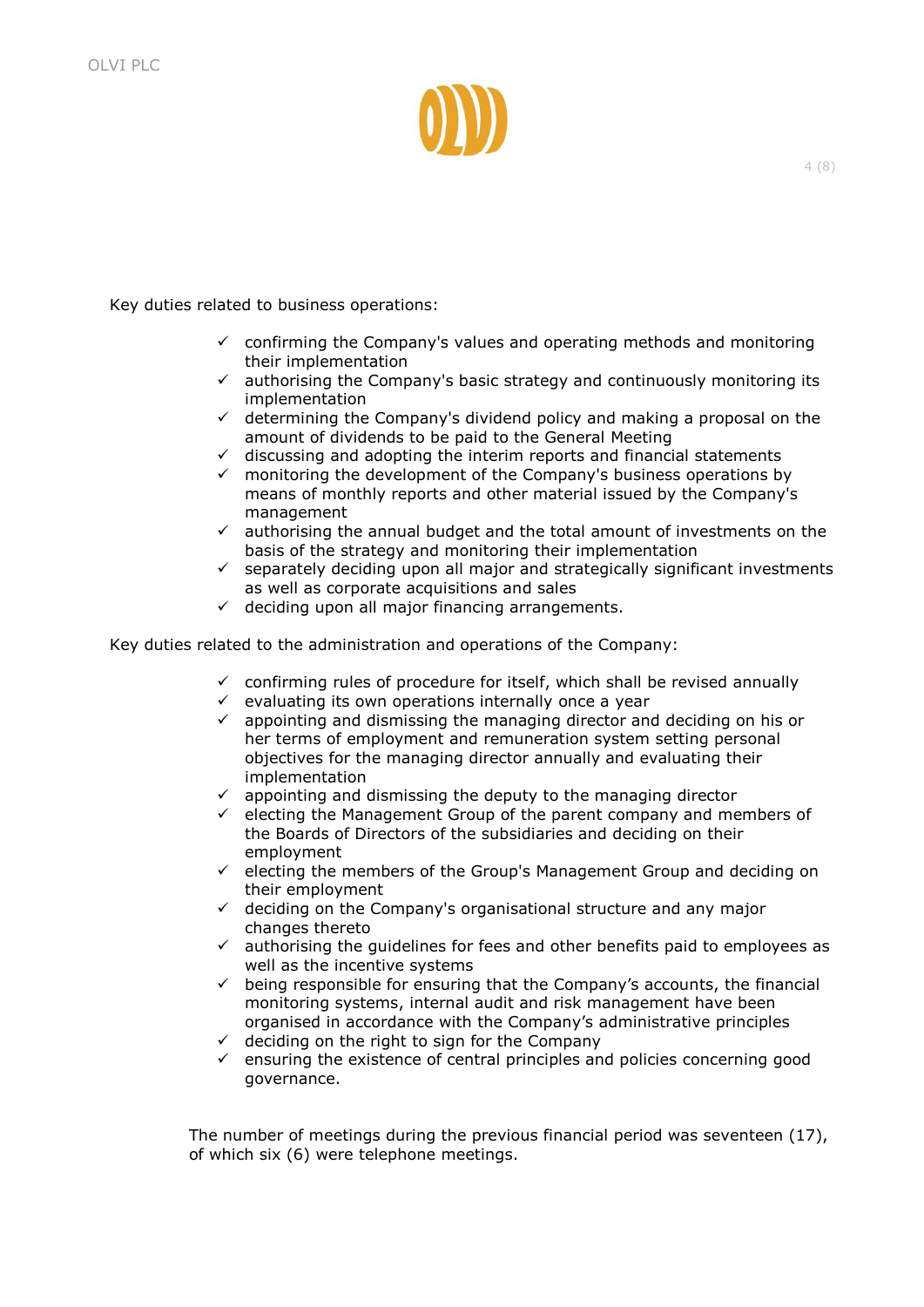

Key duties related to business operations:

- $\checkmark$  confirming the Company's values and operating methods and monitoring their implementation
- $\checkmark$  authorising the Company's basic strategy and continuously monitoring its implementation
- $\checkmark$  determining the Company's dividend policy and making a proposal on the amount of dividends to be paid to the General Meeting
- $\checkmark$  discussing and adopting the interim reports and financial statements
- $\checkmark$  monitoring the development of the Company's business operations by means of monthly reports and other material issued by the Company's management
- $\checkmark$  authorising the annual budget and the total amount of investments on the basis of the strategy and monitoring their implementation
- $\checkmark$  separately deciding upon all major and strategically significant investments as well as corporate acquisitions and sales
- $\checkmark$  deciding upon all major financing arrangements.

Key duties related to the administration and operations of the Company:

- $\checkmark$  confirming rules of procedure for itself, which shall be revised annually
- $\checkmark$  evaluating its own operations internally once a year
- $\checkmark$  appointing and dismissing the managing director and deciding on his or her terms of employment and remuneration system setting personal objectives for the managing director annually and evaluating their implementation
- $\checkmark$  appointing and dismissing the deputy to the managing director
- $\checkmark$  electing the Management Group of the parent company and members of the Boards of Directors of the subsidiaries and deciding on their employment
- $\checkmark$  electing the members of the Group's Management Group and deciding on their employment
- $\checkmark$  deciding on the Company's organisational structure and any major changes thereto
- $\checkmark$  authorising the guidelines for fees and other benefits paid to employees as well as the incentive systems
- $\checkmark$  being responsible for ensuring that the Company's accounts, the financial monitoring systems, internal audit and risk management have been organised in accordance with the Company's administrative principles
- $\checkmark$  deciding on the right to sign for the Company
- $\checkmark$  ensuring the existence of central principles and policies concerning good governance.

The number of meetings during the previous financial period was seventeen (17), of which six (6) were telephone meetings.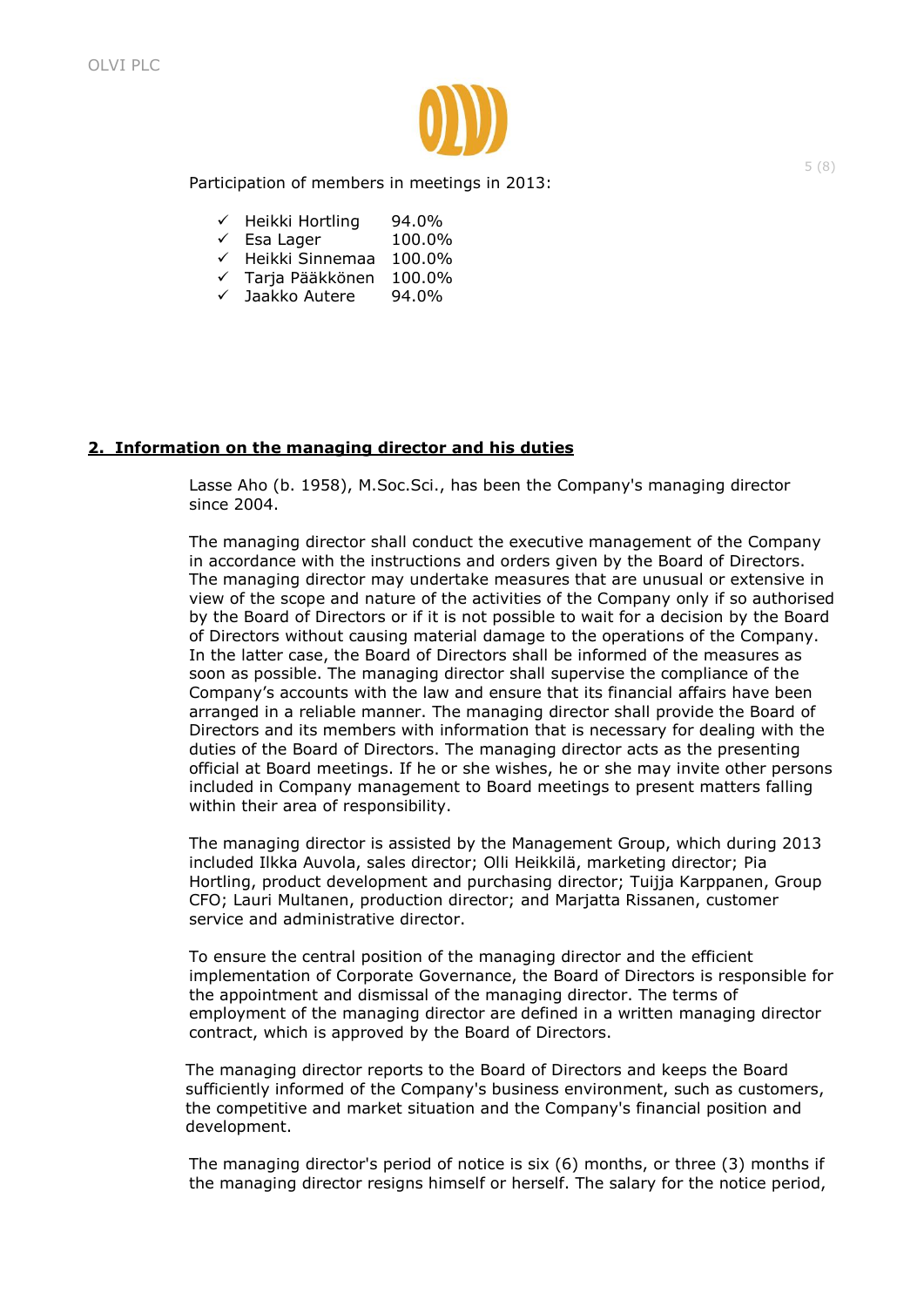

Participation of members in meetings in 2013:

- $\checkmark$  Heikki Hortling 94.0%
- $\checkmark$  Esa Lager 100.0%
- $\checkmark$  Heikki Sinnemaa 100.0%
- Tarja Pääkkönen 100.0%
- Jaakko Autere 94.0%

# **2. Information on the managing director and his duties**

Lasse Aho (b. 1958), M.Soc.Sci., has been the Company's managing director since 2004.

The managing director shall conduct the executive management of the Company in accordance with the instructions and orders given by the Board of Directors. The managing director may undertake measures that are unusual or extensive in view of the scope and nature of the activities of the Company only if so authorised by the Board of Directors or if it is not possible to wait for a decision by the Board of Directors without causing material damage to the operations of the Company. In the latter case, the Board of Directors shall be informed of the measures as soon as possible. The managing director shall supervise the compliance of the Company's accounts with the law and ensure that its financial affairs have been arranged in a reliable manner. The managing director shall provide the Board of Directors and its members with information that is necessary for dealing with the duties of the Board of Directors. The managing director acts as the presenting official at Board meetings. If he or she wishes, he or she may invite other persons included in Company management to Board meetings to present matters falling within their area of responsibility.

The managing director is assisted by the Management Group, which during 2013 included Ilkka Auvola, sales director; Olli Heikkilä, marketing director; Pia Hortling, product development and purchasing director; Tuijja Karppanen, Group CFO; Lauri Multanen, production director; and Marjatta Rissanen, customer service and administrative director.

To ensure the central position of the managing director and the efficient implementation of Corporate Governance, the Board of Directors is responsible for the appointment and dismissal of the managing director. The terms of employment of the managing director are defined in a written managing director contract, which is approved by the Board of Directors.

The managing director reports to the Board of Directors and keeps the Board sufficiently informed of the Company's business environment, such as customers, the competitive and market situation and the Company's financial position and development.

The managing director's period of notice is six (6) months, or three (3) months if the managing director resigns himself or herself. The salary for the notice period,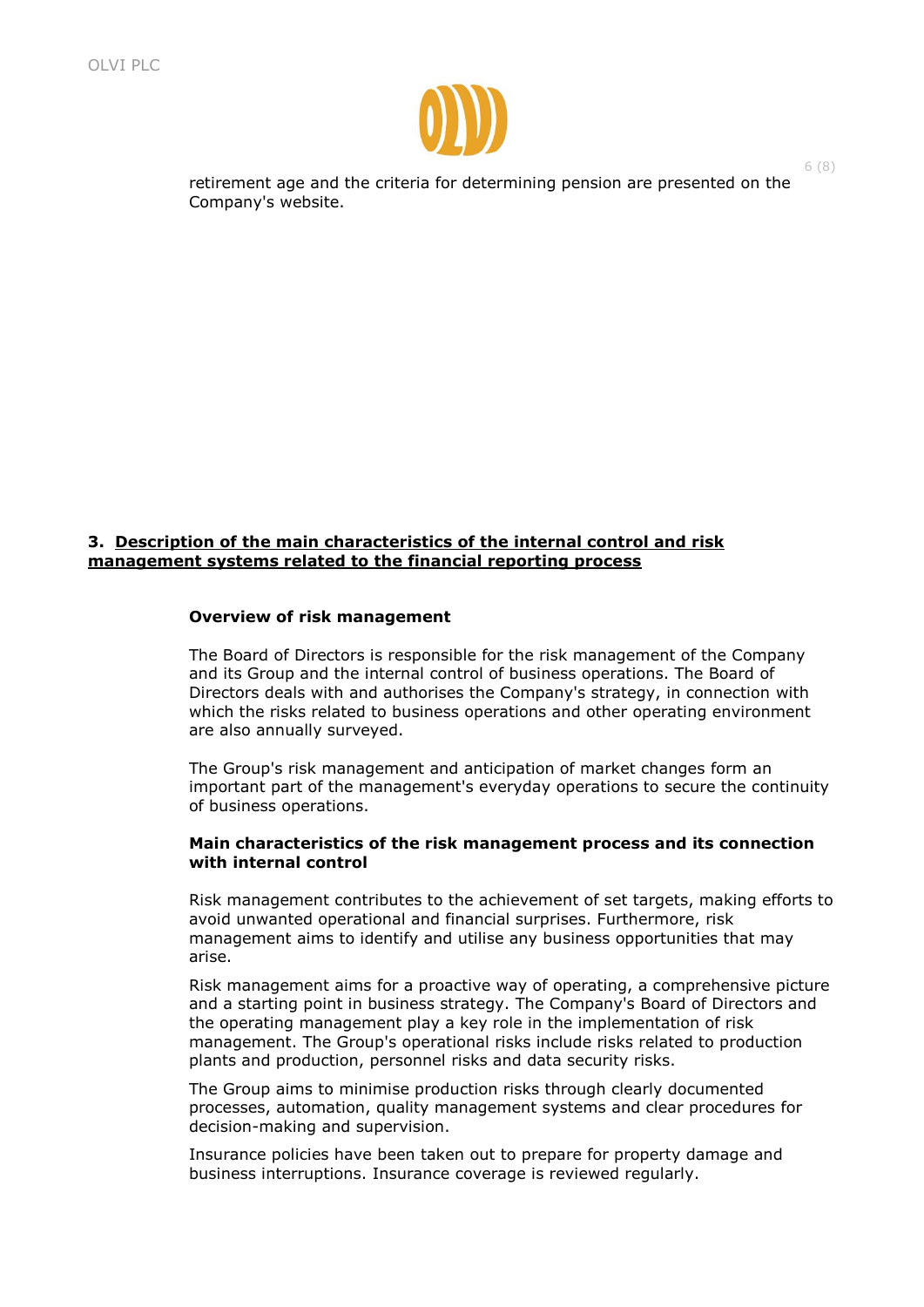

retirement age and the criteria for determining pension are presented on the Company's website.

## **3. Description of the main characteristics of the internal control and risk management systems related to the financial reporting process**

#### **Overview of risk management**

The Board of Directors is responsible for the risk management of the Company and its Group and the internal control of business operations. The Board of Directors deals with and authorises the Company's strategy, in connection with which the risks related to business operations and other operating environment are also annually surveyed.

The Group's risk management and anticipation of market changes form an important part of the management's everyday operations to secure the continuity of business operations.

#### **Main characteristics of the risk management process and its connection with internal control**

Risk management contributes to the achievement of set targets, making efforts to avoid unwanted operational and financial surprises. Furthermore, risk management aims to identify and utilise any business opportunities that may arise.

Risk management aims for a proactive way of operating, a comprehensive picture and a starting point in business strategy. The Company's Board of Directors and the operating management play a key role in the implementation of risk management. The Group's operational risks include risks related to production plants and production, personnel risks and data security risks.

The Group aims to minimise production risks through clearly documented processes, automation, quality management systems and clear procedures for decision-making and supervision.

Insurance policies have been taken out to prepare for property damage and business interruptions. Insurance coverage is reviewed regularly.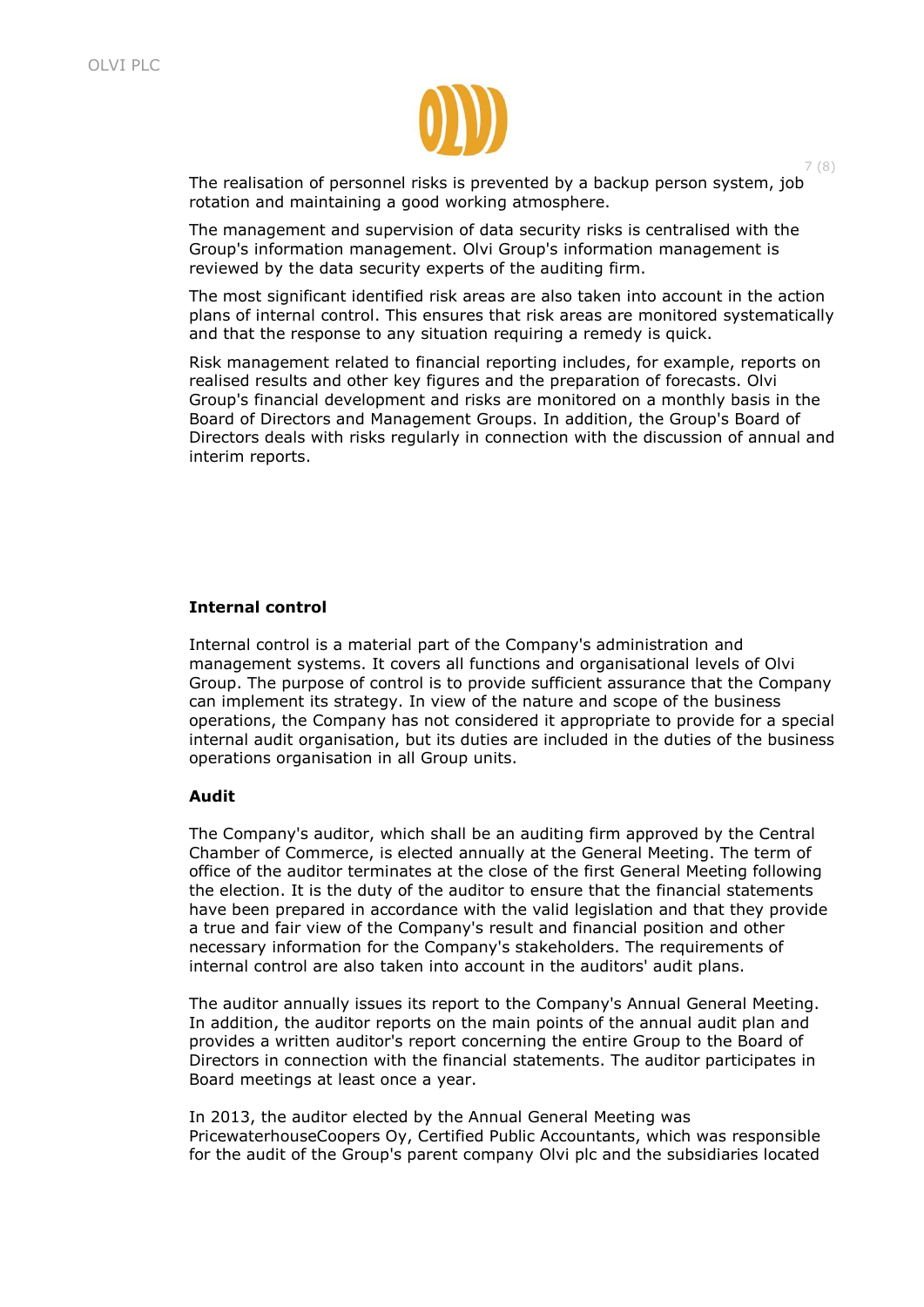

The realisation of personnel risks is prevented by a backup person system, job rotation and maintaining a good working atmosphere.

The management and supervision of data security risks is centralised with the Group's information management. Olvi Group's information management is reviewed by the data security experts of the auditing firm.

The most significant identified risk areas are also taken into account in the action plans of internal control. This ensures that risk areas are monitored systematically and that the response to any situation requiring a remedy is quick.

Risk management related to financial reporting includes, for example, reports on realised results and other key figures and the preparation of forecasts. Olvi Group's financial development and risks are monitored on a monthly basis in the Board of Directors and Management Groups. In addition, the Group's Board of Directors deals with risks regularly in connection with the discussion of annual and interim reports.

#### **Internal control**

Internal control is a material part of the Company's administration and management systems. It covers all functions and organisational levels of Olvi Group. The purpose of control is to provide sufficient assurance that the Company can implement its strategy. In view of the nature and scope of the business operations, the Company has not considered it appropriate to provide for a special internal audit organisation, but its duties are included in the duties of the business operations organisation in all Group units.

#### **Audit**

The Company's auditor, which shall be an auditing firm approved by the Central Chamber of Commerce, is elected annually at the General Meeting. The term of office of the auditor terminates at the close of the first General Meeting following the election. It is the duty of the auditor to ensure that the financial statements have been prepared in accordance with the valid legislation and that they provide a true and fair view of the Company's result and financial position and other necessary information for the Company's stakeholders. The requirements of internal control are also taken into account in the auditors' audit plans.

The auditor annually issues its report to the Company's Annual General Meeting. In addition, the auditor reports on the main points of the annual audit plan and provides a written auditor's report concerning the entire Group to the Board of Directors in connection with the financial statements. The auditor participates in Board meetings at least once a year.

In 2013, the auditor elected by the Annual General Meeting was PricewaterhouseCoopers Oy, Certified Public Accountants, which was responsible for the audit of the Group's parent company Olvi plc and the subsidiaries located

7 (8)